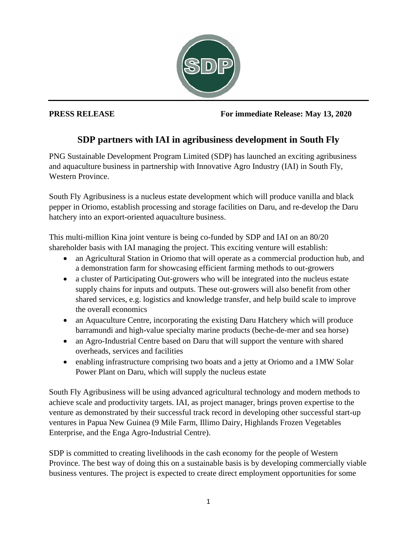

## **PRESS RELEASE For immediate Release: May 13, 2020**

## **SDP partners with IAI in agribusiness development in South Fly**

PNG Sustainable Development Program Limited (SDP) has launched an exciting agribusiness and aquaculture business in partnership with Innovative Agro Industry (IAI) in South Fly, Western Province.

South Fly Agribusiness is a nucleus estate development which will produce vanilla and black pepper in Oriomo, establish processing and storage facilities on Daru, and re-develop the Daru hatchery into an export-oriented aquaculture business.

This multi-million Kina joint venture is being co-funded by SDP and IAI on an 80/20 shareholder basis with IAI managing the project. This exciting venture will establish:

- an Agricultural Station in Oriomo that will operate as a commercial production hub, and a demonstration farm for showcasing efficient farming methods to out-growers
- a cluster of Participating Out-growers who will be integrated into the nucleus estate supply chains for inputs and outputs. These out-growers will also benefit from other shared services, e.g. logistics and knowledge transfer, and help build scale to improve the overall economics
- an Aquaculture Centre, incorporating the existing Daru Hatchery which will produce barramundi and high-value specialty marine products (beche-de-mer and sea horse)
- an Agro-Industrial Centre based on Daru that will support the venture with shared overheads, services and facilities
- enabling infrastructure comprising two boats and a jetty at Oriomo and a 1MW Solar Power Plant on Daru, which will supply the nucleus estate

South Fly Agribusiness will be using advanced agricultural technology and modern methods to achieve scale and productivity targets. IAI, as project manager, brings proven expertise to the venture as demonstrated by their successful track record in developing other successful start-up ventures in Papua New Guinea (9 Mile Farm, Illimo Dairy, Highlands Frozen Vegetables Enterprise, and the Enga Agro-Industrial Centre).

SDP is committed to creating livelihoods in the cash economy for the people of Western Province. The best way of doing this on a sustainable basis is by developing commercially viable business ventures. The project is expected to create direct employment opportunities for some